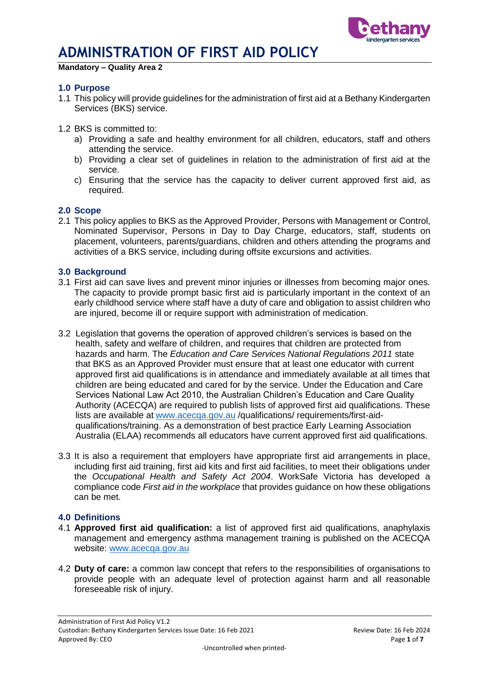

**Mandatory – Quality Area 2**

#### **1.0 Purpose**

- 1.1 This policy will provide guidelines for the administration of first aid at a Bethany Kindergarten Services (BKS) service.
- 1.2 BKS is committed to:
	- a) Providing a safe and healthy environment for all children, educators, staff and others attending the service.
	- b) Providing a clear set of quidelines in relation to the administration of first aid at the service.
	- c) Ensuring that the service has the capacity to deliver current approved first aid, as required.

#### **2.0 Scope**

2.1 This policy applies to BKS as the Approved Provider, Persons with Management or Control, Nominated Supervisor, Persons in Day to Day Charge, educators, staff, students on placement, volunteers, parents/guardians, children and others attending the programs and activities of a BKS service, including during offsite excursions and activities.

#### **3.0 Background**

- 3.1 First aid can save lives and prevent minor injuries or illnesses from becoming major ones. The capacity to provide prompt basic first aid is particularly important in the context of an early childhood service where staff have a duty of care and obligation to assist children who are injured, become ill or require support with administration of medication.
- 3.2 Legislation that governs the operation of approved children's services is based on the health, safety and welfare of children, and requires that children are protected from hazards and harm. The *Education and Care Services National Regulations 2011* state that BKS as an Approved Provider must ensure that at least one educator with current approved first aid qualifications is in attendance and immediately available at all times that children are being educated and cared for by the service. Under the Education and Care Services National Law Act 2010, the Australian Children's Education and Care Quality Authority (ACECQA) are required to publish lists of approved first aid qualifications. These lists are available at [www.acecqa.gov.au](http://www.acecqa.gov.au/) /qualifications/ requirements/first-aidqualifications/training. As a demonstration of best practice Early Learning Association Australia (ELAA) recommends all educators have current approved first aid qualifications.
- 3.3 It is also a requirement that employers have appropriate first aid arrangements in place, including first aid training, first aid kits and first aid facilities, to meet their obligations under the *Occupational Health and Safety Act 2004*. WorkSafe Victoria has developed a compliance code *First aid in the workplace* that provides guidance on how these obligations can be met.

#### **4.0 Definitions**

- 4.1 **Approved first aid qualification:** a list of approved first aid qualifications, anaphylaxis management and emergency asthma management training is published on the ACECQA website: www.acecga.gov.au
- 4.2 **Duty of care:** a common law concept that refers to the responsibilities of organisations to provide people with an adequate level of protection against harm and all reasonable foreseeable risk of injury.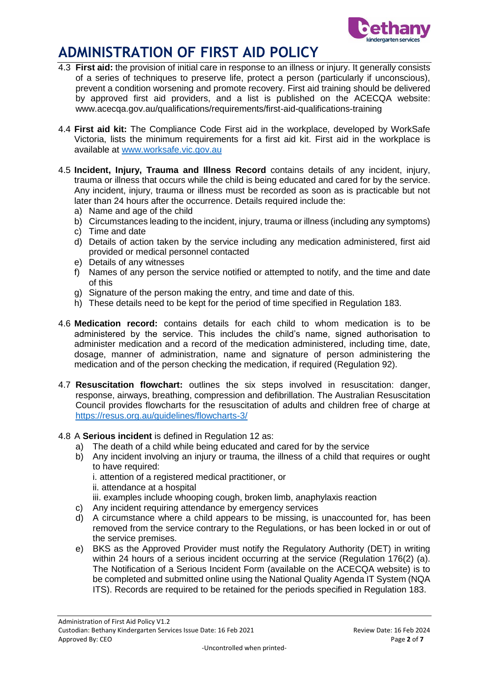

- 4.3 **First aid:** the provision of initial care in response to an illness or injury. It generally consists of a series of techniques to preserve life, protect a person (particularly if unconscious), prevent a condition worsening and promote recovery. First aid training should be delivered by approved first aid providers, and a list is published on the ACECQA website: www.acecqa.gov.au/qualifications/requirements/first-aid-qualifications-training
- 4.4 **First aid kit:** The Compliance Code First aid in the workplace, developed by WorkSafe Victoria, lists the minimum requirements for a first aid kit. First aid in the workplace is available at [www.worksafe.vic.gov.au](http://www.worksafe.vic.gov.au/)
- 4.5 **Incident, Injury, Trauma and Illness Record** contains details of any incident, injury, trauma or illness that occurs while the child is being educated and cared for by the service. Any incident, injury, trauma or illness must be recorded as soon as is practicable but not later than 24 hours after the occurrence. Details required include the:
	- a) Name and age of the child
	- b) Circumstances leading to the incident, injury, trauma or illness (including any symptoms)
	- c) Time and date
	- d) Details of action taken by the service including any medication administered, first aid provided or medical personnel contacted
	- e) Details of any witnesses
	- f) Names of any person the service notified or attempted to notify, and the time and date of this
	- g) Signature of the person making the entry, and time and date of this.
	- h) These details need to be kept for the period of time specified in Regulation 183.
- 4.6 **Medication record:** contains details for each child to whom medication is to be administered by the service. This includes the child's name, signed authorisation to administer medication and a record of the medication administered, including time, date, dosage, manner of administration, name and signature of person administering the medication and of the person checking the medication, if required (Regulation 92).
- 4.7 **Resuscitation flowchart:** outlines the six steps involved in resuscitation: danger, response, airways, breathing, compression and defibrillation. The Australian Resuscitation Council provides flowcharts for the resuscitation of adults and children free of charge at <https://resus.org.au/guidelines/flowcharts-3/>

### 4.8 A **Serious incident** is defined in Regulation 12 as:

- a) The death of a child while being educated and cared for by the service
- b) Any incident involving an injury or trauma, the illness of a child that requires or ought to have required: i. attention of a registered medical practitioner, or ii. attendance at a hospital iii. examples include whooping cough, broken limb, anaphylaxis reaction
- c) Any incident requiring attendance by emergency services
- d) A circumstance where a child appears to be missing, is unaccounted for, has been removed from the service contrary to the Regulations, or has been locked in or out of the service premises.
- e) BKS as the Approved Provider must notify the Regulatory Authority (DET) in writing within 24 hours of a serious incident occurring at the service (Regulation 176(2) (a). The Notification of a Serious Incident Form (available on the ACECQA website) is to be completed and submitted online using the National Quality Agenda IT System (NQA ITS). Records are required to be retained for the periods specified in Regulation 183.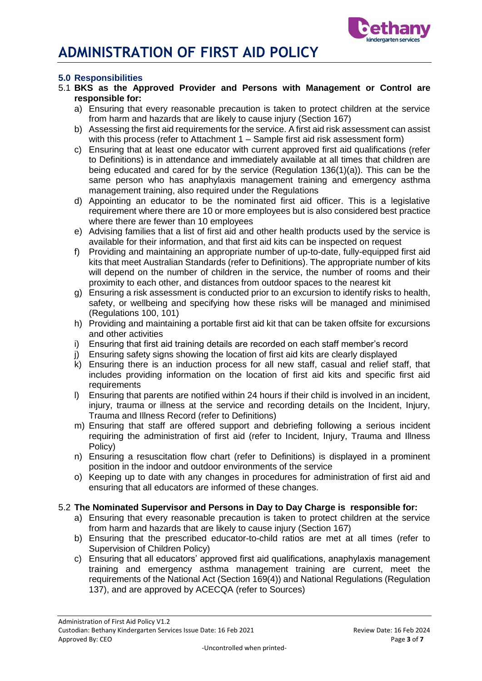

### **5.0 Responsibilities**

- 5.1 **BKS as the Approved Provider and Persons with Management or Control are responsible for:**
	- a) Ensuring that every reasonable precaution is taken to protect children at the service from harm and hazards that are likely to cause injury (Section 167)
	- b) Assessing the first aid requirements for the service. A first aid risk assessment can assist with this process (refer to Attachment 1 – Sample first aid risk assessment form)
	- c) Ensuring that at least one educator with current approved first aid qualifications (refer to Definitions) is in attendance and immediately available at all times that children are being educated and cared for by the service (Regulation 136(1)(a)). This can be the same person who has anaphylaxis management training and emergency asthma management training, also required under the Regulations
	- d) Appointing an educator to be the nominated first aid officer. This is a legislative requirement where there are 10 or more employees but is also considered best practice where there are fewer than 10 employees
	- e) Advising families that a list of first aid and other health products used by the service is available for their information, and that first aid kits can be inspected on request
	- f) Providing and maintaining an appropriate number of up-to-date, fully-equipped first aid kits that meet Australian Standards (refer to Definitions). The appropriate number of kits will depend on the number of children in the service, the number of rooms and their proximity to each other, and distances from outdoor spaces to the nearest kit
	- g) Ensuring a risk assessment is conducted prior to an excursion to identify risks to health, safety, or wellbeing and specifying how these risks will be managed and minimised (Regulations 100, 101)
	- h) Providing and maintaining a portable first aid kit that can be taken offsite for excursions and other activities
	- i) Ensuring that first aid training details are recorded on each staff member's record
	- j) Ensuring safety signs showing the location of first aid kits are clearly displayed
	- k) Ensuring there is an induction process for all new staff, casual and relief staff, that includes providing information on the location of first aid kits and specific first aid requirements
	- l) Ensuring that parents are notified within 24 hours if their child is involved in an incident, injury, trauma or illness at the service and recording details on the Incident, Injury, Trauma and Illness Record (refer to Definitions)
	- m) Ensuring that staff are offered support and debriefing following a serious incident requiring the administration of first aid (refer to Incident, Injury, Trauma and Illness Policy)
	- n) Ensuring a resuscitation flow chart (refer to Definitions) is displayed in a prominent position in the indoor and outdoor environments of the service
	- o) Keeping up to date with any changes in procedures for administration of first aid and ensuring that all educators are informed of these changes.

### 5.2 **The Nominated Supervisor and Persons in Day to Day Charge is responsible for:**

- a) Ensuring that every reasonable precaution is taken to protect children at the service from harm and hazards that are likely to cause injury (Section 167)
- b) Ensuring that the prescribed educator-to-child ratios are met at all times (refer to Supervision of Children Policy)
- c) Ensuring that all educators' approved first aid qualifications, anaphylaxis management training and emergency asthma management training are current, meet the requirements of the National Act (Section 169(4)) and National Regulations (Regulation 137), and are approved by ACECQA (refer to Sources)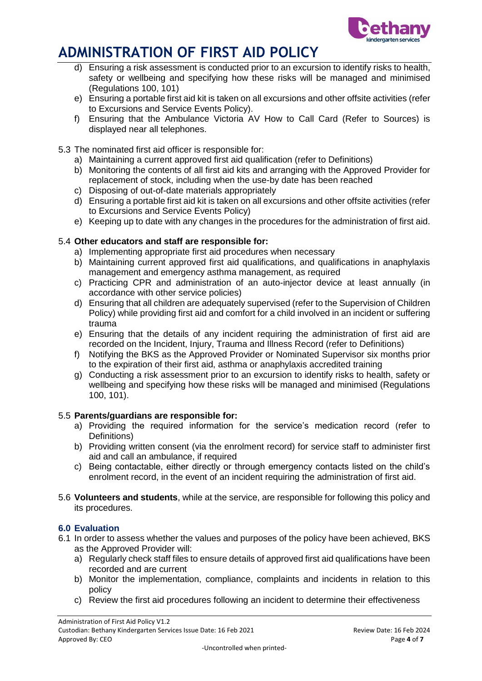

- d) Ensuring a risk assessment is conducted prior to an excursion to identify risks to health, safety or wellbeing and specifying how these risks will be managed and minimised (Regulations 100, 101)
- e) Ensuring a portable first aid kit is taken on all excursions and other offsite activities (refer to Excursions and Service Events Policy).
- f) Ensuring that the Ambulance Victoria AV How to Call Card (Refer to Sources) is displayed near all telephones.

## 5.3 The nominated first aid officer is responsible for:

- a) Maintaining a current approved first aid qualification (refer to Definitions)
- b) Monitoring the contents of all first aid kits and arranging with the Approved Provider for replacement of stock, including when the use-by date has been reached
- c) Disposing of out-of-date materials appropriately
- d) Ensuring a portable first aid kit is taken on all excursions and other offsite activities (refer to Excursions and Service Events Policy)
- e) Keeping up to date with any changes in the procedures for the administration of first aid.

## 5.4 **Other educators and staff are responsible for:**

- a) Implementing appropriate first aid procedures when necessary
- b) Maintaining current approved first aid qualifications, and qualifications in anaphylaxis management and emergency asthma management, as required
- c) Practicing CPR and administration of an auto-injector device at least annually (in accordance with other service policies)
- d) Ensuring that all children are adequately supervised (refer to the Supervision of Children Policy) while providing first aid and comfort for a child involved in an incident or suffering trauma
- e) Ensuring that the details of any incident requiring the administration of first aid are recorded on the Incident, Injury, Trauma and Illness Record (refer to Definitions)
- f) Notifying the BKS as the Approved Provider or Nominated Supervisor six months prior to the expiration of their first aid, asthma or anaphylaxis accredited training
- g) Conducting a risk assessment prior to an excursion to identify risks to health, safety or wellbeing and specifying how these risks will be managed and minimised (Regulations 100, 101).

### 5.5 **Parents/guardians are responsible for:**

- a) Providing the required information for the service's medication record (refer to Definitions)
- b) Providing written consent (via the enrolment record) for service staff to administer first aid and call an ambulance, if required
- c) Being contactable, either directly or through emergency contacts listed on the child's enrolment record, in the event of an incident requiring the administration of first aid.
- 5.6 **Volunteers and students**, while at the service, are responsible for following this policy and its procedures.

### **6.0 Evaluation**

- 6.1 In order to assess whether the values and purposes of the policy have been achieved, BKS as the Approved Provider will:
	- a) Regularly check staff files to ensure details of approved first aid qualifications have been recorded and are current
	- b) Monitor the implementation, compliance, complaints and incidents in relation to this policy
	- c) Review the first aid procedures following an incident to determine their effectiveness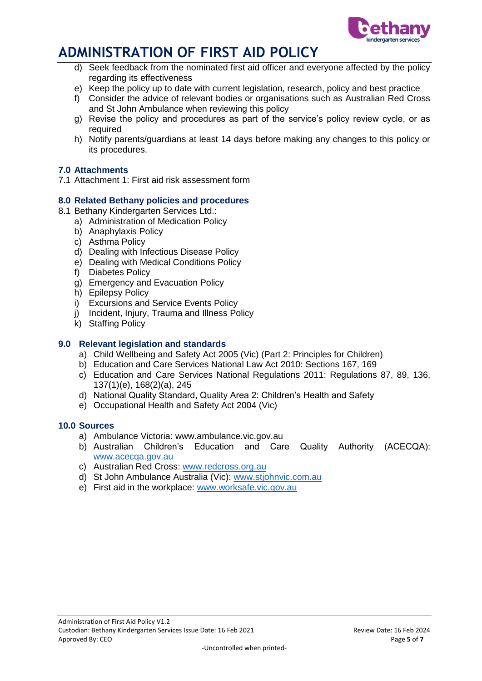

- d) Seek feedback from the nominated first aid officer and everyone affected by the policy regarding its effectiveness
- e) Keep the policy up to date with current legislation, research, policy and best practice
- f) Consider the advice of relevant bodies or organisations such as Australian Red Cross and St John Ambulance when reviewing this policy
- g) Revise the policy and procedures as part of the service's policy review cycle, or as required
- h) Notify parents/guardians at least 14 days before making any changes to this policy or its procedures.

### **7.0 Attachments**

7.1 Attachment 1: First aid risk assessment form

### **8.0 Related Bethany policies and procedures**

- 8.1 Bethany Kindergarten Services Ltd.:
	- a) Administration of Medication Policy
	- b) Anaphylaxis Policy
	- c) Asthma Policy
	- d) Dealing with Infectious Disease Policy
	- e) Dealing with Medical Conditions Policy
	- f) Diabetes Policy
	- g) Emergency and Evacuation Policy
	- h) Epilepsy Policy
	- i) Excursions and Service Events Policy
	- j) Incident, Injury, Trauma and Illness Policy
	- k) Staffing Policy

#### **9.0 Relevant legislation and standards**

- a) Child Wellbeing and Safety Act 2005 (Vic) (Part 2: Principles for Children)
- b) Education and Care Services National Law Act 2010: Sections 167, 169
- c) Education and Care Services National Regulations 2011: Regulations 87, 89, 136, 137(1)(e), 168(2)(a), 245
- d) National Quality Standard, Quality Area 2: Children's Health and Safety
- e) Occupational Health and Safety Act 2004 (Vic)

#### **10.0 Sources**

- a) Ambulance Victoria: www.ambulance.vic.gov.au
- b) Australian Children's Education and Care Quality Authority (ACECQA): [www.acecqa.gov.au](http://www.acecqa.gov.au/)
- c) Australian Red Cross: [www.redcross.org.au](http://www.redcross.org.au/)
- d) St John Ambulance Australia (Vic): [www.stjohnvic.com.au](http://www.stjohnvic.com.au/)
- e) First aid in the workplace: [www.worksafe.vic.gov.au](http://www.worksafe.vic.gov.au/)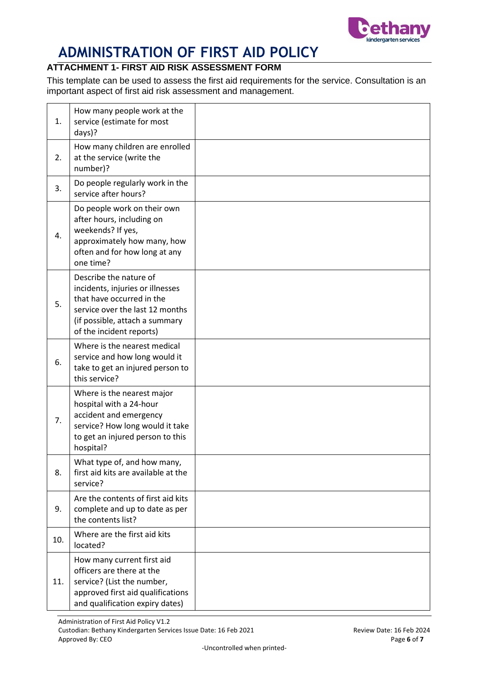

# **ATTACHMENT 1- FIRST AID RISK ASSESSMENT FORM**

This template can be used to assess the first aid requirements for the service. Consultation is an important aspect of first aid risk assessment and management.

| 1.  | How many people work at the<br>service (estimate for most<br>days)?                                                                                                                      |  |
|-----|------------------------------------------------------------------------------------------------------------------------------------------------------------------------------------------|--|
| 2.  | How many children are enrolled<br>at the service (write the<br>number)?                                                                                                                  |  |
| 3.  | Do people regularly work in the<br>service after hours?                                                                                                                                  |  |
| 4.  | Do people work on their own<br>after hours, including on<br>weekends? If yes,<br>approximately how many, how<br>often and for how long at any<br>one time?                               |  |
| 5.  | Describe the nature of<br>incidents, injuries or illnesses<br>that have occurred in the<br>service over the last 12 months<br>(if possible, attach a summary<br>of the incident reports) |  |
| 6.  | Where is the nearest medical<br>service and how long would it<br>take to get an injured person to<br>this service?                                                                       |  |
| 7.  | Where is the nearest major<br>hospital with a 24-hour<br>accident and emergency<br>service? How long would it take<br>to get an injured person to this<br>hospital?                      |  |
| 8.  | What type of, and how many,<br>first aid kits are available at the<br>service?                                                                                                           |  |
| 9.  | Are the contents of first aid kits<br>complete and up to date as per<br>the contents list?                                                                                               |  |
| 10. | Where are the first aid kits<br>located?                                                                                                                                                 |  |
| 11. | How many current first aid<br>officers are there at the<br>service? (List the number,<br>approved first aid qualifications<br>and qualification expiry dates)                            |  |